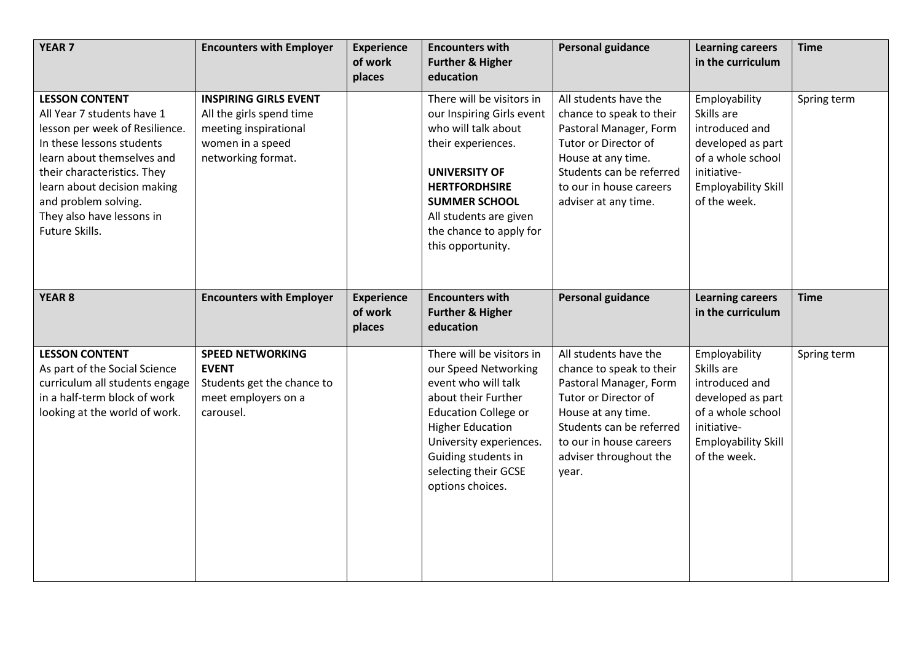| <b>YEAR 7</b>                                                                                                                                                                                                                                                                         | <b>Encounters with Employer</b>                                                                                             | <b>Experience</b><br>of work<br>places | <b>Encounters with</b><br><b>Further &amp; Higher</b><br>education                                                                                                                                                                                      | <b>Personal guidance</b>                                                                                                                                                                                            | <b>Learning careers</b><br>in the curriculum                                                                                                         | <b>Time</b> |
|---------------------------------------------------------------------------------------------------------------------------------------------------------------------------------------------------------------------------------------------------------------------------------------|-----------------------------------------------------------------------------------------------------------------------------|----------------------------------------|---------------------------------------------------------------------------------------------------------------------------------------------------------------------------------------------------------------------------------------------------------|---------------------------------------------------------------------------------------------------------------------------------------------------------------------------------------------------------------------|------------------------------------------------------------------------------------------------------------------------------------------------------|-------------|
| <b>LESSON CONTENT</b><br>All Year 7 students have 1<br>lesson per week of Resilience.<br>In these lessons students<br>learn about themselves and<br>their characteristics. They<br>learn about decision making<br>and problem solving.<br>They also have lessons in<br>Future Skills. | <b>INSPIRING GIRLS EVENT</b><br>All the girls spend time<br>meeting inspirational<br>women in a speed<br>networking format. |                                        | There will be visitors in<br>our Inspiring Girls event<br>who will talk about<br>their experiences.<br><b>UNIVERSITY OF</b><br><b>HERTFORDHSIRE</b><br><b>SUMMER SCHOOL</b><br>All students are given<br>the chance to apply for<br>this opportunity.   | All students have the<br>chance to speak to their<br>Pastoral Manager, Form<br>Tutor or Director of<br>House at any time.<br>Students can be referred<br>to our in house careers<br>adviser at any time.            | Employability<br>Skills are<br>introduced and<br>developed as part<br>of a whole school<br>initiative-<br><b>Employability Skill</b><br>of the week. | Spring term |
| <b>YEAR 8</b>                                                                                                                                                                                                                                                                         | <b>Encounters with Employer</b>                                                                                             | <b>Experience</b><br>of work<br>places | <b>Encounters with</b><br><b>Further &amp; Higher</b><br>education                                                                                                                                                                                      | <b>Personal guidance</b>                                                                                                                                                                                            | <b>Learning careers</b><br>in the curriculum                                                                                                         | <b>Time</b> |
| <b>LESSON CONTENT</b><br>As part of the Social Science<br>curriculum all students engage<br>in a half-term block of work<br>looking at the world of work.                                                                                                                             | <b>SPEED NETWORKING</b><br><b>EVENT</b><br>Students get the chance to<br>meet employers on a<br>carousel.                   |                                        | There will be visitors in<br>our Speed Networking<br>event who will talk<br>about their Further<br><b>Education College or</b><br><b>Higher Education</b><br>University experiences.<br>Guiding students in<br>selecting their GCSE<br>options choices. | All students have the<br>chance to speak to their<br>Pastoral Manager, Form<br>Tutor or Director of<br>House at any time.<br>Students can be referred<br>to our in house careers<br>adviser throughout the<br>year. | Employability<br>Skills are<br>introduced and<br>developed as part<br>of a whole school<br>initiative-<br><b>Employability Skill</b><br>of the week. | Spring term |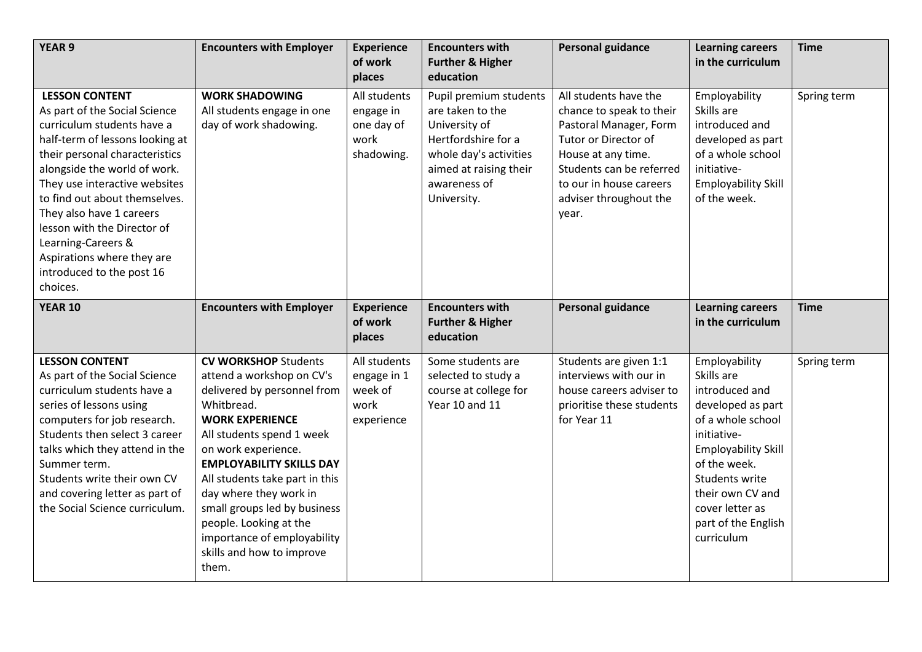| <b>YEAR 9</b>                                                                                                                                                                                                                                                                                                                                                                                                       | <b>Encounters with Employer</b>                                                                                                                                                                                                                                                                                                                                                                                   | <b>Experience</b><br>of work<br>places                        | <b>Encounters with</b><br><b>Further &amp; Higher</b><br>education                                                                                                    | <b>Personal guidance</b>                                                                                                                                                                                            | <b>Learning careers</b><br>in the curriculum                                                                                                                                                                                                       | <b>Time</b> |
|---------------------------------------------------------------------------------------------------------------------------------------------------------------------------------------------------------------------------------------------------------------------------------------------------------------------------------------------------------------------------------------------------------------------|-------------------------------------------------------------------------------------------------------------------------------------------------------------------------------------------------------------------------------------------------------------------------------------------------------------------------------------------------------------------------------------------------------------------|---------------------------------------------------------------|-----------------------------------------------------------------------------------------------------------------------------------------------------------------------|---------------------------------------------------------------------------------------------------------------------------------------------------------------------------------------------------------------------|----------------------------------------------------------------------------------------------------------------------------------------------------------------------------------------------------------------------------------------------------|-------------|
| <b>LESSON CONTENT</b><br>As part of the Social Science<br>curriculum students have a<br>half-term of lessons looking at<br>their personal characteristics<br>alongside the world of work.<br>They use interactive websites<br>to find out about themselves.<br>They also have 1 careers<br>lesson with the Director of<br>Learning-Careers &<br>Aspirations where they are<br>introduced to the post 16<br>choices. | <b>WORK SHADOWING</b><br>All students engage in one<br>day of work shadowing.                                                                                                                                                                                                                                                                                                                                     | All students<br>engage in<br>one day of<br>work<br>shadowing. | Pupil premium students<br>are taken to the<br>University of<br>Hertfordshire for a<br>whole day's activities<br>aimed at raising their<br>awareness of<br>University. | All students have the<br>chance to speak to their<br>Pastoral Manager, Form<br>Tutor or Director of<br>House at any time.<br>Students can be referred<br>to our in house careers<br>adviser throughout the<br>year. | Employability<br>Skills are<br>introduced and<br>developed as part<br>of a whole school<br>initiative-<br><b>Employability Skill</b><br>of the week.                                                                                               | Spring term |
| <b>YEAR 10</b>                                                                                                                                                                                                                                                                                                                                                                                                      | <b>Encounters with Employer</b>                                                                                                                                                                                                                                                                                                                                                                                   | <b>Experience</b><br>of work<br>places                        | <b>Encounters with</b><br><b>Further &amp; Higher</b><br>education                                                                                                    | <b>Personal guidance</b>                                                                                                                                                                                            | <b>Learning careers</b><br>in the curriculum                                                                                                                                                                                                       | <b>Time</b> |
| <b>LESSON CONTENT</b><br>As part of the Social Science<br>curriculum students have a<br>series of lessons using<br>computers for job research.<br>Students then select 3 career<br>talks which they attend in the<br>Summer term.<br>Students write their own CV<br>and covering letter as part of<br>the Social Science curriculum.                                                                                | <b>CV WORKSHOP Students</b><br>attend a workshop on CV's<br>delivered by personnel from<br>Whitbread.<br><b>WORK EXPERIENCE</b><br>All students spend 1 week<br>on work experience.<br><b>EMPLOYABILITY SKILLS DAY</b><br>All students take part in this<br>day where they work in<br>small groups led by business<br>people. Looking at the<br>importance of employability<br>skills and how to improve<br>them. | All students<br>engage in 1<br>week of<br>work<br>experience  | Some students are<br>selected to study a<br>course at college for<br>Year 10 and 11                                                                                   | Students are given 1:1<br>interviews with our in<br>house careers adviser to<br>prioritise these students<br>for Year 11                                                                                            | Employability<br>Skills are<br>introduced and<br>developed as part<br>of a whole school<br>initiative-<br><b>Employability Skill</b><br>of the week.<br>Students write<br>their own CV and<br>cover letter as<br>part of the English<br>curriculum | Spring term |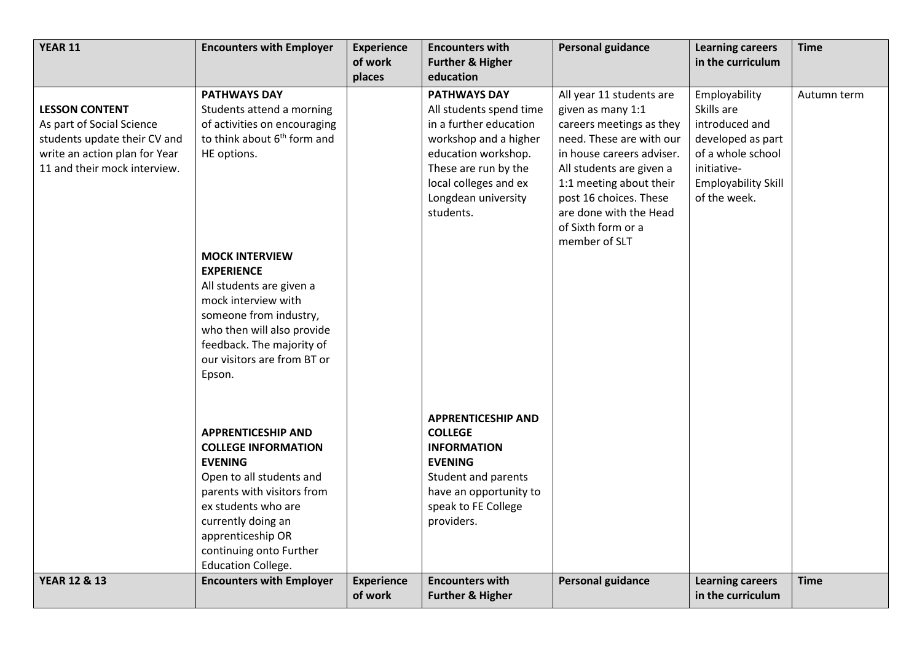| <b>YEAR 11</b>                | <b>Encounters with Employer</b>                              | <b>Experience</b><br>of work<br>places | <b>Encounters with</b><br><b>Further &amp; Higher</b><br>education | <b>Personal guidance</b>  | <b>Learning careers</b><br>in the curriculum | <b>Time</b> |
|-------------------------------|--------------------------------------------------------------|----------------------------------------|--------------------------------------------------------------------|---------------------------|----------------------------------------------|-------------|
|                               | <b>PATHWAYS DAY</b>                                          |                                        | <b>PATHWAYS DAY</b>                                                | All year 11 students are  | Employability                                | Autumn term |
| <b>LESSON CONTENT</b>         | Students attend a morning                                    |                                        | All students spend time                                            | given as many 1:1         | Skills are                                   |             |
| As part of Social Science     | of activities on encouraging                                 |                                        | in a further education                                             | careers meetings as they  | introduced and                               |             |
| students update their CV and  | to think about 6 <sup>th</sup> form and                      |                                        | workshop and a higher                                              | need. These are with our  | developed as part                            |             |
| write an action plan for Year | HE options.                                                  |                                        | education workshop.                                                | in house careers adviser. | of a whole school                            |             |
| 11 and their mock interview.  |                                                              |                                        | These are run by the                                               | All students are given a  | initiative-                                  |             |
|                               |                                                              |                                        | local colleges and ex                                              | 1:1 meeting about their   | <b>Employability Skill</b>                   |             |
|                               |                                                              |                                        | Longdean university                                                | post 16 choices. These    | of the week.                                 |             |
|                               |                                                              |                                        | students.                                                          | are done with the Head    |                                              |             |
|                               |                                                              |                                        |                                                                    | of Sixth form or a        |                                              |             |
|                               |                                                              |                                        |                                                                    | member of SLT             |                                              |             |
|                               | <b>MOCK INTERVIEW</b>                                        |                                        |                                                                    |                           |                                              |             |
|                               | <b>EXPERIENCE</b>                                            |                                        |                                                                    |                           |                                              |             |
|                               | All students are given a                                     |                                        |                                                                    |                           |                                              |             |
|                               | mock interview with<br>someone from industry,                |                                        |                                                                    |                           |                                              |             |
|                               | who then will also provide                                   |                                        |                                                                    |                           |                                              |             |
|                               | feedback. The majority of                                    |                                        |                                                                    |                           |                                              |             |
|                               | our visitors are from BT or                                  |                                        |                                                                    |                           |                                              |             |
|                               | Epson.                                                       |                                        |                                                                    |                           |                                              |             |
|                               |                                                              |                                        |                                                                    |                           |                                              |             |
|                               |                                                              |                                        | <b>APPRENTICESHIP AND</b>                                          |                           |                                              |             |
|                               | <b>APPRENTICESHIP AND</b>                                    |                                        | <b>COLLEGE</b>                                                     |                           |                                              |             |
|                               | <b>COLLEGE INFORMATION</b>                                   |                                        | <b>INFORMATION</b>                                                 |                           |                                              |             |
|                               | <b>EVENING</b>                                               |                                        | <b>EVENING</b>                                                     |                           |                                              |             |
|                               | Open to all students and                                     |                                        | Student and parents                                                |                           |                                              |             |
|                               | parents with visitors from                                   |                                        | have an opportunity to                                             |                           |                                              |             |
|                               | ex students who are                                          |                                        | speak to FE College                                                |                           |                                              |             |
|                               | currently doing an                                           |                                        | providers.                                                         |                           |                                              |             |
|                               | apprenticeship OR                                            |                                        |                                                                    |                           |                                              |             |
|                               | continuing onto Further                                      |                                        |                                                                    |                           |                                              |             |
| <b>YEAR 12 &amp; 13</b>       | <b>Education College.</b><br><b>Encounters with Employer</b> | <b>Experience</b>                      | <b>Encounters with</b>                                             | <b>Personal guidance</b>  | <b>Learning careers</b>                      | <b>Time</b> |
|                               |                                                              | of work                                | <b>Further &amp; Higher</b>                                        |                           | in the curriculum                            |             |
|                               |                                                              |                                        |                                                                    |                           |                                              |             |